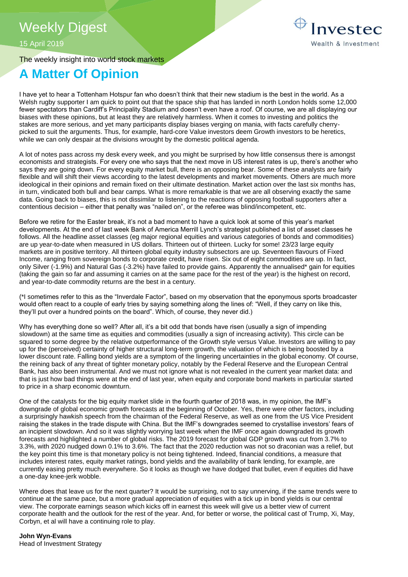# Weekly Digest

15 April 2019

The weekly insight into world stock markets

# **A Matter Of Opinion**

I have yet to hear a Tottenham Hotspur fan who doesn't think that their new stadium is the best in the world. As a Welsh rugby supporter I am quick to point out that the space ship that has landed in north London holds some 12,000 fewer spectators than Cardiff's Principality Stadium and doesn't even have a roof. Of course, we are all displaying our biases with these opinions, but at least they are relatively harmless. When it comes to investing and politics the stakes are more serious, and yet many participants display biases verging on mania, with facts carefully cherrypicked to suit the arguments. Thus, for example, hard-core Value investors deem Growth investors to be heretics, while we can only despair at the divisions wrought by the domestic political agenda.

A lot of notes pass across my desk every week, and you might be surprised by how little consensus there is amongst economists and strategists. For every one who says that the next move in US interest rates is up, there's another who says they are going down. For every equity market bull, there is an opposing bear. Some of these analysts are fairly flexible and will shift their views according to the latest developments and market movements. Others are much more ideological in their opinions and remain fixed on their ultimate destination. Market action over the last six months has, in turn, vindicated both bull and bear camps. What is more remarkable is that we are all observing exactly the same data. Going back to biases, this is not dissimilar to listening to the reactions of opposing football supporters after a contentious decision – either that penalty was "nailed on", or the referee was blind/incompetent, etc.

Before we retire for the Easter break, it's not a bad moment to have a quick look at some of this year's market developments. At the end of last week Bank of America Merrill Lynch's strategist published a list of asset classes he follows. All the headline asset classes (eg major regional equities and various categories of bonds and commodities) are up year-to-date when measured in US dollars. Thirteen out of thirteen. Lucky for some! 23/23 large equity markets are in positive territory. All thirteen global equity industry subsectors are up. Seventeen flavours of Fixed Income, ranging from sovereign bonds to corporate credit, have risen. Six out of eight commodities are up. In fact, only Silver (-1.9%) and Natural Gas (-3.2%) have failed to provide gains. Apparently the annualised\* gain for equities (taking the gain so far and assuming it carries on at the same pace for the rest of the year) is the highest on record, and year-to-date commodity returns are the best in a century.

(\*I sometimes refer to this as the "Inverdale Factor", based on my observation that the eponymous sports broadcaster would often react to a couple of early tries by saying something along the lines of: "Well, if they carry on like this, they'll put over a hundred points on the board". Which, of course, they never did.)

Why has everything done so well? After all, it's a bit odd that bonds have risen (usually a sign of impending slowdown) at the same time as equities and commodities (usually a sign of increasing activity). This circle can be squared to some degree by the relative outperformance of the Growth style versus Value. Investors are willing to pay up for the (perceived) certainty of higher structural long-term growth, the valuation of which is being boosted by a lower discount rate. Falling bond yields are a symptom of the lingering uncertainties in the global economy. Of course, the reining back of any threat of tighter monetary policy, notably by the Federal Reserve and the European Central Bank, has also been instrumental. And we must not ignore what is not revealed in the current year market data: and that is just how bad things were at the end of last year, when equity and corporate bond markets in particular started to price in a sharp economic downturn.

One of the catalysts for the big equity market slide in the fourth quarter of 2018 was, in my opinion, the IMF's downgrade of global economic growth forecasts at the beginning of October. Yes, there were other factors, including a surprisingly hawkish speech from the chairman of the Federal Reserve, as well as one from the US Vice President raising the stakes in the trade dispute with China. But the IMF's downgrades seemed to crystallise investors' fears of an incipient slowdown. And so it was slightly worrying last week when the IMF once again downgraded its growth forecasts and highlighted a number of global risks. The 2019 forecast for global GDP growth was cut from 3.7% to 3.3%, with 2020 nudged down 0.1% to 3.6%. The fact that the 2020 reduction was not so draconian was a relief, but the key point this time is that monetary policy is not being tightened. Indeed, financial conditions, a measure that includes interest rates, equity market ratings, bond yields and the availability of bank lending, for example, are currently easing pretty much everywhere. So it looks as though we have dodged that bullet, even if equities did have a one-day knee-jerk wobble.

Where does that leave us for the next quarter? It would be surprising, not to say unnerving, if the same trends were to continue at the same pace, but a more gradual appreciation of equities with a tick up in bond yields is our central view. The corporate earnings season which kicks off in earnest this week will give us a better view of current corporate health and the outlook for the rest of the year. And, for better or worse, the political cast of Trump, Xi, May, Corbyn, et al will have a continuing role to play.

**John Wyn-Evans**  Head of Investment Strategy